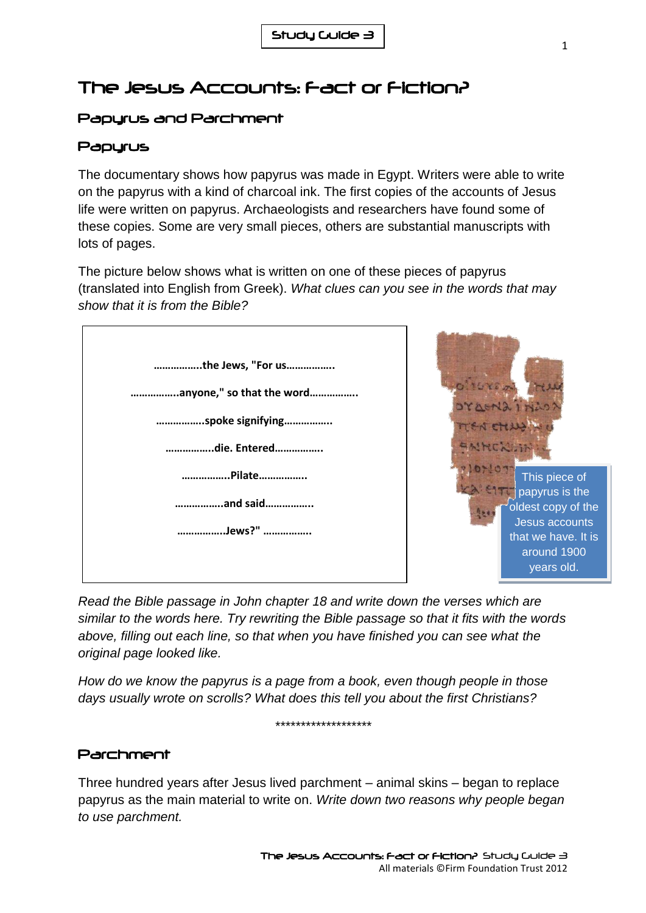# The Jesus Accounts: Fact or Fiction?

## Papyrus and Parchment

### Papyrus

The documentary shows how papyrus was made in Egypt. Writers were able to write on the papyrus with a kind of charcoal ink. The first copies of the accounts of Jesus life were written on papyrus. Archaeologists and researchers have found some of these copies. Some are very small pieces, others are substantial manuscripts with lots of pages.

The picture below shows what is written on one of these pieces of papyrus (translated into English from Greek). *What clues can you see in the words that may show that it is from the Bible?*



*Read the Bible passage in John chapter 18 and write down the verses which are similar to the words here. Try rewriting the Bible passage so that it fits with the words above, filling out each line, so that when you have finished you can see what the original page looked like.*

*How do we know the papyrus is a page from a book, even though people in those days usually wrote on scrolls? What does this tell you about the first Christians?*

*\*\*\*\*\*\*\*\*\*\*\*\*\*\*\*\*\*\*\**

#### Parchment

Three hundred years after Jesus lived parchment – animal skins – began to replace papyrus as the main material to write on. *Write down two reasons why people began to use parchment.*